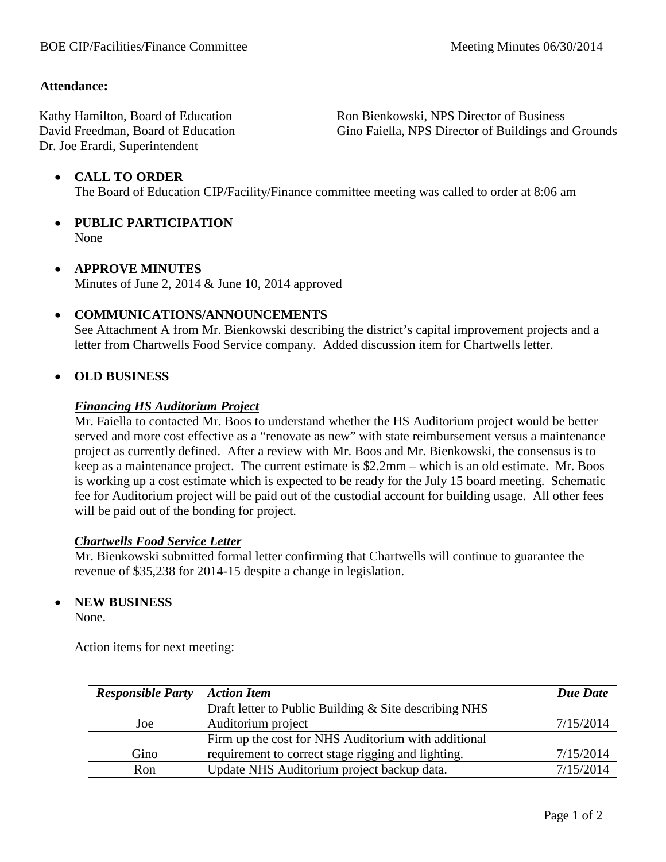### **Attendance:**

Kathy Hamilton, Board of Education David Freedman, Board of Education Dr. Joe Erardi, Superintendent

Ron Bienkowski, NPS Director of Business Gino Faiella, NPS Director of Buildings and Grounds

## • **CALL TO ORDER** The Board of Education CIP/Facility/Finance committee meeting was called to order at 8:06 am

- **PUBLIC PARTICIPATION** None
- **APPROVE MINUTES** Minutes of June 2, 2014 & June 10, 2014 approved

### • **COMMUNICATIONS/ANNOUNCEMENTS**

See Attachment A from Mr. Bienkowski describing the district's capital improvement projects and a letter from Chartwells Food Service company. Added discussion item for Chartwells letter.

### • **OLD BUSINESS**

### *Financing HS Auditorium Project*

Mr. Faiella to contacted Mr. Boos to understand whether the HS Auditorium project would be better served and more cost effective as a "renovate as new" with state reimbursement versus a maintenance project as currently defined. After a review with Mr. Boos and Mr. Bienkowski, the consensus is to keep as a maintenance project. The current estimate is \$2.2mm – which is an old estimate. Mr. Boos is working up a cost estimate which is expected to be ready for the July 15 board meeting. Schematic fee for Auditorium project will be paid out of the custodial account for building usage. All other fees will be paid out of the bonding for project.

### *Chartwells Food Service Letter*

Mr. Bienkowski submitted formal letter confirming that Chartwells will continue to guarantee the revenue of \$35,238 for 2014-15 despite a change in legislation.

### • **NEW BUSINESS**

None.

Action items for next meeting:

| <b>Responsible Party</b> | <b>Action Item</b>                                    | Due Date  |
|--------------------------|-------------------------------------------------------|-----------|
|                          | Draft letter to Public Building & Site describing NHS |           |
| Joe                      | Auditorium project                                    | 7/15/2014 |
|                          | Firm up the cost for NHS Auditorium with additional   |           |
| Gino                     | requirement to correct stage rigging and lighting.    | 7/15/2014 |
| Ron                      | Update NHS Auditorium project backup data.            | 7/15/2014 |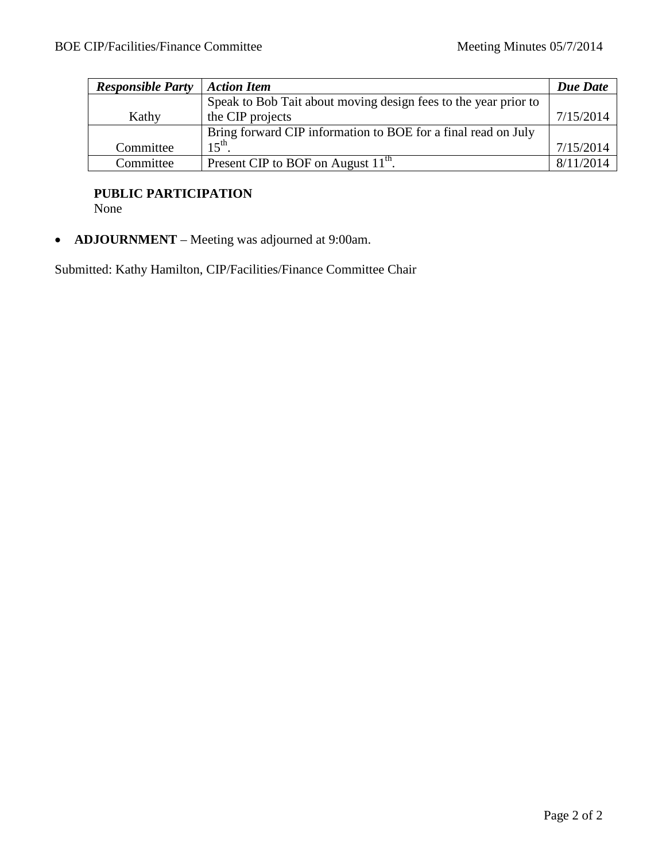| <b>Responsible Party</b> | <b>Action Item</b>                                              | Due Date  |
|--------------------------|-----------------------------------------------------------------|-----------|
|                          | Speak to Bob Tait about moving design fees to the year prior to |           |
| Kathy                    | the CIP projects                                                | 7/15/2014 |
|                          | Bring forward CIP information to BOE for a final read on July   |           |
| Committee                | $15^{th}$                                                       | 7/15/2014 |
| Committee                | Present CIP to BOF on August 11 <sup>th</sup> .                 | 8/11/2014 |

# **PUBLIC PARTICIPATION**

None

• **ADJOURNMENT** – Meeting was adjourned at 9:00am.

Submitted: Kathy Hamilton, CIP/Facilities/Finance Committee Chair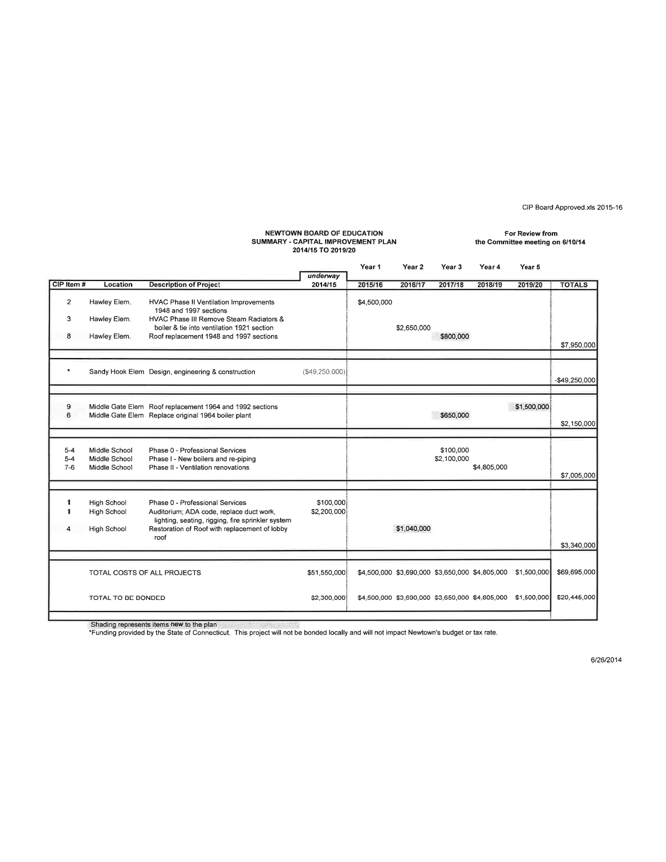CIP Board Approved.xls 2015-16

#### **NEWTOWN BOARD OF EDUCATION** For Review from SUMMARY - CAPITAL IMPROVEMENT PLAN the Committee meeting on 6/10/14 2014/15 TO 2019/20 Year 1 Year 2 Year 3 Year 4 Year 5 underway CIP Item # Location **Description of Project** 2014/15 2015/16 2016/17 2017/18 2018/19 2019/20 **TOTALS**  $\mathbf 2$ Hawley Elem. **HVAC Phase II Ventilation Improvements** \$4,500,000 1948 and 1997 sections 3 Hawley Elem. HVAC Phase III Remove Steam Radiators & boiler & tie into ventilation 1921 section \$2,650,000 8 Hawley Elem. Roof replacement 1948 and 1997 sections \$800,000 \$7,950,000  $\star$ Sandy Hook Elem Design, engineering & construction  $($49,250,000)$ \$49,250,000 Middle Gate Elem Roof replacement 1964 and 1992 sections \$1,500,000 9  $\overline{6}$ Middle Gate Elem Replace original 1964 boiler plant \$650,000 \$2,150,000  $5 - 4$ Middle School Phase 0 - Professional Services \$100,000 Phase I - New boilers and re-piping  $5 - 4$ Middle School \$2,100,000  $7 - 6$ \$4,805,000 Middle School Phase II - Ventilation renovations \$7,005,000 \$100,000  $\mathbf{1}$ High School Phase 0 - Professional Services  $\mathbf{1}$ High School Auditorium; ADA code, replace duct work, \$2,200,000 lighting, seating, rigging, fire sprinkler system  $\overline{\mathbf{4}}$ High School Restoration of Roof with replacement of lobby \$1,040,000 roof \$3,340,000 TOTAL COSTS OF ALL PROJECTS \$51,550,000 \$4,500,000 \$3,690,000 \$3,650,000 \$4,805,000 \$1,500,000 \$69,695,000 TOTAL TO BE BONDED \$2,300,000 \$4,500,000 \$3,690,000 \$3,650,000 \$4,805,000 \$1,500,000 \$20,445,000

Shading represents items new to the plan

\*Funding provided by the State of Connecticut. This project will not be bonded locally and will not impact Newtown's budget or tax rate.